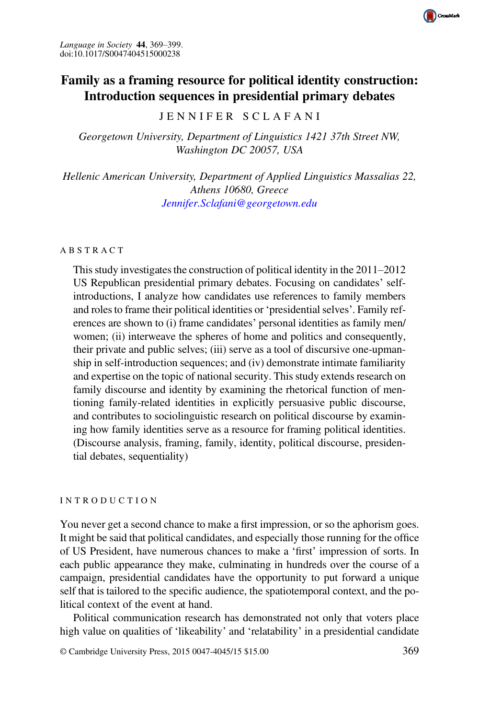



# Family as a framing resource for political identity construction: Introduction sequences in presidential primary debates

JENNIFER SCLAFANI

Georgetown University, Department of Linguistics 1421 37th Street NW, Washington DC 20057, USA

Hellenic American University, Department of Applied Linguistics Massalias 22, Athens 10680, Greece [Jennifer.Sclafani@georgetown.edu](mailto:Jennifer.Sclafani@georgetown.edu)

### ABSTRACT

This study investigates the construction of political identity in the 2011–2012 US Republican presidential primary debates. Focusing on candidates' selfintroductions, I analyze how candidates use references to family members and roles to frame their political identities or 'presidential selves'. Family references are shown to (i) frame candidates' personal identities as family men/ women; (ii) interweave the spheres of home and politics and consequently, their private and public selves; (iii) serve as a tool of discursive one-upmanship in self-introduction sequences; and (iv) demonstrate intimate familiarity and expertise on the topic of national security. This study extends research on family discourse and identity by examining the rhetorical function of mentioning family-related identities in explicitly persuasive public discourse, and contributes to sociolinguistic research on political discourse by examining how family identities serve as a resource for framing political identities. (Discourse analysis, framing, family, identity, political discourse, presidential debates, sequentiality)

## INTRODUCTION

You never get a second chance to make a first impression, or so the aphorism goes. It might be said that political candidates, and especially those running for the office of US President, have numerous chances to make a 'first' impression of sorts. In each public appearance they make, culminating in hundreds over the course of a campaign, presidential candidates have the opportunity to put forward a unique self that is tailored to the specific audience, the spatiotemporal context, and the political context of the event at hand.

Political communication research has demonstrated not only that voters place high value on qualities of 'likeability' and 'relatability' in a presidential candidate

© Cambridge University Press, 2015 0047-4045/15 \$15.00 369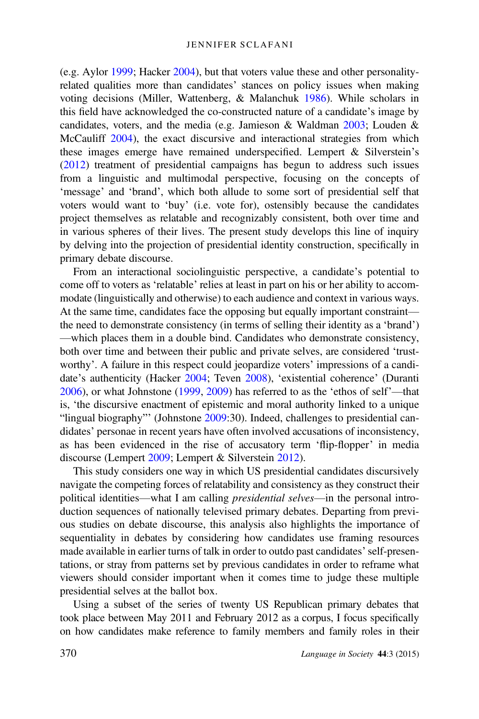(e.g. Aylor [1999](#page-29-0); Hacker [2004](#page-29-0)), but that voters value these and other personalityrelated qualities more than candidates' stances on policy issues when making voting decisions (Miller, Wattenberg, & Malanchuk [1986](#page-30-0)). While scholars in this field have acknowledged the co-constructed nature of a candidate's image by candidates, voters, and the media (e.g. Jamieson & Waldman [2003;](#page-29-0) Louden & McCauliff [2004\)](#page-30-0), the exact discursive and interactional strategies from which these images emerge have remained underspecified. Lempert & Silverstein's [\(2012](#page-30-0)) treatment of presidential campaigns has begun to address such issues from a linguistic and multimodal perspective, focusing on the concepts of 'message' and 'brand', which both allude to some sort of presidential self that voters would want to 'buy' (i.e. vote for), ostensibly because the candidates project themselves as relatable and recognizably consistent, both over time and in various spheres of their lives. The present study develops this line of inquiry by delving into the projection of presidential identity construction, specifically in primary debate discourse.

From an interactional sociolinguistic perspective, a candidate's potential to come off to voters as 'relatable' relies at least in part on his or her ability to accommodate (linguistically and otherwise) to each audience and context in various ways. At the same time, candidates face the opposing but equally important constraint the need to demonstrate consistency (in terms of selling their identity as a 'brand') —which places them in a double bind. Candidates who demonstrate consistency, both over time and between their public and private selves, are considered 'trustworthy'. A failure in this respect could jeopardize voters' impressions of a candidate's authenticity (Hacker [2004;](#page-29-0) Teven [2008](#page-30-0)), 'existential coherence' (Duranti [2006](#page-29-0)), or what Johnstone ([1999,](#page-29-0) [2009](#page-29-0)) has referred to as the 'ethos of self'—that is, 'the discursive enactment of epistemic and moral authority linked to a unique "lingual biography"' (Johnstone [2009:](#page-29-0)30). Indeed, challenges to presidential candidates' personae in recent years have often involved accusations of inconsistency, as has been evidenced in the rise of accusatory term 'flip-flopper' in media discourse (Lempert [2009;](#page-30-0) Lempert & Silverstein [2012](#page-30-0)).

This study considers one way in which US presidential candidates discursively navigate the competing forces of relatability and consistency as they construct their political identities—what I am calling *presidential selves*—in the personal introduction sequences of nationally televised primary debates. Departing from previous studies on debate discourse, this analysis also highlights the importance of sequentiality in debates by considering how candidates use framing resources made available in earlier turns of talk in order to outdo past candidates' self-presentations, or stray from patterns set by previous candidates in order to reframe what viewers should consider important when it comes time to judge these multiple presidential selves at the ballot box.

Using a subset of the series of twenty US Republican primary debates that took place between May 2011 and February 2012 as a corpus, I focus specifically on how candidates make reference to family members and family roles in their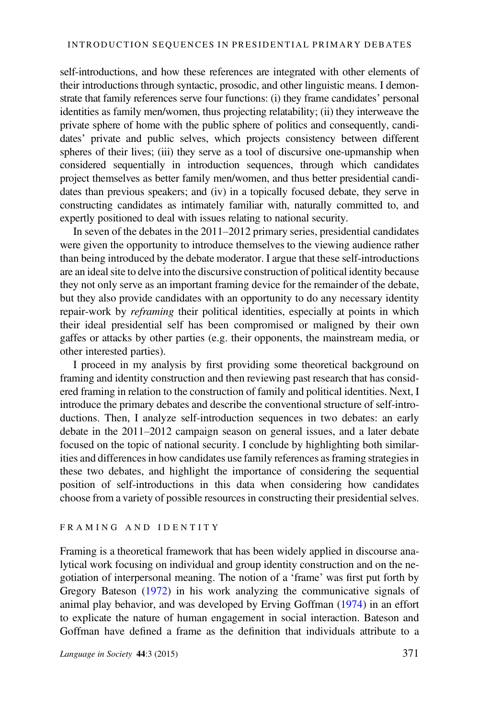self-introductions, and how these references are integrated with other elements of their introductions through syntactic, prosodic, and other linguistic means. I demonstrate that family references serve four functions: (i) they frame candidates' personal identities as family men/women, thus projecting relatability; (ii) they interweave the private sphere of home with the public sphere of politics and consequently, candidates' private and public selves, which projects consistency between different spheres of their lives; (iii) they serve as a tool of discursive one-upmanship when considered sequentially in introduction sequences, through which candidates project themselves as better family men/women, and thus better presidential candidates than previous speakers; and (iv) in a topically focused debate, they serve in constructing candidates as intimately familiar with, naturally committed to, and expertly positioned to deal with issues relating to national security.

In seven of the debates in the 2011–2012 primary series, presidential candidates were given the opportunity to introduce themselves to the viewing audience rather than being introduced by the debate moderator. I argue that these self-introductions are an ideal site to delve into the discursive construction of political identity because they not only serve as an important framing device for the remainder of the debate, but they also provide candidates with an opportunity to do any necessary identity repair-work by reframing their political identities, especially at points in which their ideal presidential self has been compromised or maligned by their own gaffes or attacks by other parties (e.g. their opponents, the mainstream media, or other interested parties).

I proceed in my analysis by first providing some theoretical background on framing and identity construction and then reviewing past research that has considered framing in relation to the construction of family and political identities. Next, I introduce the primary debates and describe the conventional structure of self-introductions. Then, I analyze self-introduction sequences in two debates: an early debate in the 2011–2012 campaign season on general issues, and a later debate focused on the topic of national security. I conclude by highlighting both similarities and differences in how candidates use family references as framing strategies in these two debates, and highlight the importance of considering the sequential position of self-introductions in this data when considering how candidates choose from a variety of possible resources in constructing their presidential selves.

#### FRAMING AND IDENTITY

Framing is a theoretical framework that has been widely applied in discourse analytical work focusing on individual and group identity construction and on the negotiation of interpersonal meaning. The notion of a 'frame' was first put forth by Gregory Bateson [\(1972](#page-29-0)) in his work analyzing the communicative signals of animal play behavior, and was developed by Erving Goffman [\(1974](#page-29-0)) in an effort to explicate the nature of human engagement in social interaction. Bateson and Goffman have defined a frame as the definition that individuals attribute to a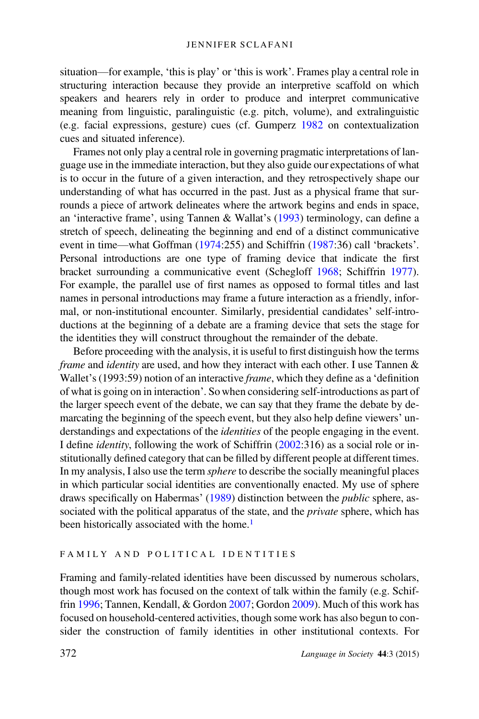situation—for example, 'this is play' or 'this is work'. Frames play a central role in structuring interaction because they provide an interpretive scaffold on which speakers and hearers rely in order to produce and interpret communicative meaning from linguistic, paralinguistic (e.g. pitch, volume), and extralinguistic (e.g. facial expressions, gesture) cues (cf. Gumperz [1982](#page-29-0) on contextualization cues and situated inference).

Frames not only play a central role in governing pragmatic interpretations of language use in the immediate interaction, but they also guide our expectations of what is to occur in the future of a given interaction, and they retrospectively shape our understanding of what has occurred in the past. Just as a physical frame that surrounds a piece of artwork delineates where the artwork begins and ends in space, an 'interactive frame', using Tannen & Wallat's [\(1993](#page-30-0)) terminology, can define a stretch of speech, delineating the beginning and end of a distinct communicative event in time—what Goffman [\(1974](#page-29-0):255) and Schiffrin [\(1987](#page-30-0):36) call 'brackets'. Personal introductions are one type of framing device that indicate the first bracket surrounding a communicative event (Schegloff [1968;](#page-30-0) Schiffrin [1977](#page-30-0)). For example, the parallel use of first names as opposed to formal titles and last names in personal introductions may frame a future interaction as a friendly, informal, or non-institutional encounter. Similarly, presidential candidates' self-introductions at the beginning of a debate are a framing device that sets the stage for the identities they will construct throughout the remainder of the debate.

Before proceeding with the analysis, it is useful to first distinguish how the terms frame and identity are used, and how they interact with each other. I use Tannen & Wallet's (1993:59) notion of an interactive frame, which they define as a 'definition of what is going on in interaction'. So when considering self-introductions as part of the larger speech event of the debate, we can say that they frame the debate by demarcating the beginning of the speech event, but they also help define viewers' understandings and expectations of the *identities* of the people engaging in the event. I define identity, following the work of Schiffrin [\(2002](#page-30-0):316) as a social role or institutionally defined category that can be filled by different people at different times. In my analysis, I also use the term sphere to describe the socially meaningful places in which particular social identities are conventionally enacted. My use of sphere draws specifically on Habermas' ([1989\)](#page-29-0) distinction between the *public* sphere, associated with the political apparatus of the state, and the *private* sphere, which has been historically associated with the home.<sup>[1](#page-28-0)</sup>

# FAMILY AND POLITICAL IDENTITIES

Framing and family-related identities have been discussed by numerous scholars, though most work has focused on the context of talk within the family (e.g. Schiffrin [1996](#page-30-0); Tannen, Kendall, & Gordon [2007](#page-30-0); Gordon [2009](#page-29-0)). Much of this work has focused on household-centered activities, though some work has also begun to consider the construction of family identities in other institutional contexts. For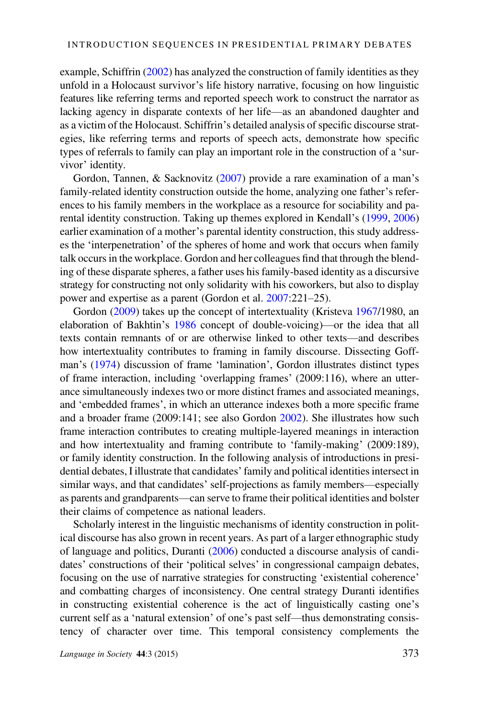example, Schiffrin [\(2002](#page-30-0)) has analyzed the construction of family identities as they unfold in a Holocaust survivor's life history narrative, focusing on how linguistic features like referring terms and reported speech work to construct the narrator as lacking agency in disparate contexts of her life—as an abandoned daughter and as a victim of the Holocaust. Schiffrin's detailed analysis of specific discourse strategies, like referring terms and reports of speech acts, demonstrate how specific types of referrals to family can play an important role in the construction of a 'survivor' identity.

Gordon, Tannen, & Sacknovitz [\(2007](#page-29-0)) provide a rare examination of a man's family-related identity construction outside the home, analyzing one father's references to his family members in the workplace as a resource for sociability and parental identity construction. Taking up themes explored in Kendall's ([1999,](#page-29-0) [2006\)](#page-29-0) earlier examination of a mother's parental identity construction, this study addresses the 'interpenetration' of the spheres of home and work that occurs when family talk occurs in the workplace. Gordon and her colleagues find that through the blending of these disparate spheres, a father uses his family-based identity as a discursive strategy for constructing not only solidarity with his coworkers, but also to display power and expertise as a parent (Gordon et al. [2007](#page-29-0):221–25).

Gordon [\(2009](#page-29-0)) takes up the concept of intertextuality (Kristeva [1967/](#page-29-0)1980, an elaboration of Bakhtin's [1986](#page-29-0) concept of double-voicing)—or the idea that all texts contain remnants of or are otherwise linked to other texts—and describes how intertextuality contributes to framing in family discourse. Dissecting Goffman's ([1974\)](#page-29-0) discussion of frame 'lamination', Gordon illustrates distinct types of frame interaction, including 'overlapping frames' (2009:116), where an utterance simultaneously indexes two or more distinct frames and associated meanings, and 'embedded frames', in which an utterance indexes both a more specific frame and a broader frame (2009:141; see also Gordon [2002](#page-29-0)). She illustrates how such frame interaction contributes to creating multiple-layered meanings in interaction and how intertextuality and framing contribute to 'family-making' (2009:189), or family identity construction. In the following analysis of introductions in presidential debates, I illustrate that candidates' family and political identities intersect in similar ways, and that candidates' self-projections as family members—especially as parents and grandparents—can serve to frame their political identities and bolster their claims of competence as national leaders.

Scholarly interest in the linguistic mechanisms of identity construction in political discourse has also grown in recent years. As part of a larger ethnographic study of language and politics, Duranti [\(2006](#page-29-0)) conducted a discourse analysis of candidates' constructions of their 'political selves' in congressional campaign debates, focusing on the use of narrative strategies for constructing 'existential coherence' and combatting charges of inconsistency. One central strategy Duranti identifies in constructing existential coherence is the act of linguistically casting one's current self as a 'natural extension' of one's past self—thus demonstrating consistency of character over time. This temporal consistency complements the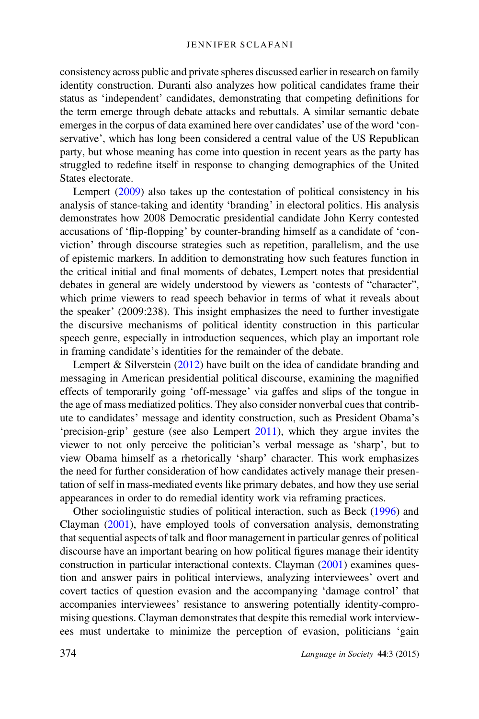consistency across public and private spheres discussed earlier in research on family identity construction. Duranti also analyzes how political candidates frame their status as 'independent' candidates, demonstrating that competing definitions for the term emerge through debate attacks and rebuttals. A similar semantic debate emerges in the corpus of data examined here over candidates' use of the word 'conservative', which has long been considered a central value of the US Republican party, but whose meaning has come into question in recent years as the party has struggled to redefine itself in response to changing demographics of the United States electorate.

Lempert ([2009\)](#page-30-0) also takes up the contestation of political consistency in his analysis of stance-taking and identity 'branding' in electoral politics. His analysis demonstrates how 2008 Democratic presidential candidate John Kerry contested accusations of 'flip-flopping' by counter-branding himself as a candidate of 'conviction' through discourse strategies such as repetition, parallelism, and the use of epistemic markers. In addition to demonstrating how such features function in the critical initial and final moments of debates, Lempert notes that presidential debates in general are widely understood by viewers as 'contests of "character", which prime viewers to read speech behavior in terms of what it reveals about the speaker' (2009:238). This insight emphasizes the need to further investigate the discursive mechanisms of political identity construction in this particular speech genre, especially in introduction sequences, which play an important role in framing candidate's identities for the remainder of the debate.

Lempert & Silverstein [\(2012](#page-30-0)) have built on the idea of candidate branding and messaging in American presidential political discourse, examining the magnified effects of temporarily going 'off-message' via gaffes and slips of the tongue in the age of mass mediatized politics. They also consider nonverbal cues that contribute to candidates' message and identity construction, such as President Obama's 'precision-grip' gesture (see also Lempert [2011](#page-30-0)), which they argue invites the viewer to not only perceive the politician's verbal message as 'sharp', but to view Obama himself as a rhetorically 'sharp' character. This work emphasizes the need for further consideration of how candidates actively manage their presentation of self in mass-mediated events like primary debates, and how they use serial appearances in order to do remedial identity work via reframing practices.

Other sociolinguistic studies of political interaction, such as Beck [\(1996](#page-29-0)) and Clayman [\(2001](#page-29-0)), have employed tools of conversation analysis, demonstrating that sequential aspects of talk and floor management in particular genres of political discourse have an important bearing on how political figures manage their identity construction in particular interactional contexts. Clayman ([2001\)](#page-29-0) examines question and answer pairs in political interviews, analyzing interviewees' overt and covert tactics of question evasion and the accompanying 'damage control' that accompanies interviewees' resistance to answering potentially identity-compromising questions. Clayman demonstrates that despite this remedial work interviewees must undertake to minimize the perception of evasion, politicians 'gain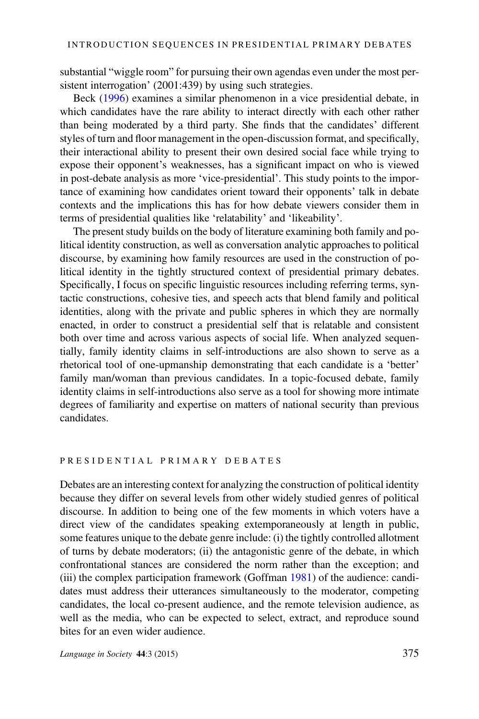substantial "wiggle room" for pursuing their own agendas even under the most persistent interrogation' (2001:439) by using such strategies.

Beck ([1996\)](#page-29-0) examines a similar phenomenon in a vice presidential debate, in which candidates have the rare ability to interact directly with each other rather than being moderated by a third party. She finds that the candidates' different styles of turn and floor management in the open-discussion format, and specifically, their interactional ability to present their own desired social face while trying to expose their opponent's weaknesses, has a significant impact on who is viewed in post-debate analysis as more 'vice-presidential'. This study points to the importance of examining how candidates orient toward their opponents' talk in debate contexts and the implications this has for how debate viewers consider them in terms of presidential qualities like 'relatability' and 'likeability'.

The present study builds on the body of literature examining both family and political identity construction, as well as conversation analytic approaches to political discourse, by examining how family resources are used in the construction of political identity in the tightly structured context of presidential primary debates. Specifically, I focus on specific linguistic resources including referring terms, syntactic constructions, cohesive ties, and speech acts that blend family and political identities, along with the private and public spheres in which they are normally enacted, in order to construct a presidential self that is relatable and consistent both over time and across various aspects of social life. When analyzed sequentially, family identity claims in self-introductions are also shown to serve as a rhetorical tool of one-upmanship demonstrating that each candidate is a 'better' family man/woman than previous candidates. In a topic-focused debate, family identity claims in self-introductions also serve as a tool for showing more intimate degrees of familiarity and expertise on matters of national security than previous candidates.

#### PRESIDENTIAL PRIMARY DEBATES

Debates are an interesting context for analyzing the construction of political identity because they differ on several levels from other widely studied genres of political discourse. In addition to being one of the few moments in which voters have a direct view of the candidates speaking extemporaneously at length in public, some features unique to the debate genre include: (i) the tightly controlled allotment of turns by debate moderators; (ii) the antagonistic genre of the debate, in which confrontational stances are considered the norm rather than the exception; and (iii) the complex participation framework (Goffman [1981\)](#page-29-0) of the audience: candidates must address their utterances simultaneously to the moderator, competing candidates, the local co-present audience, and the remote television audience, as well as the media, who can be expected to select, extract, and reproduce sound bites for an even wider audience.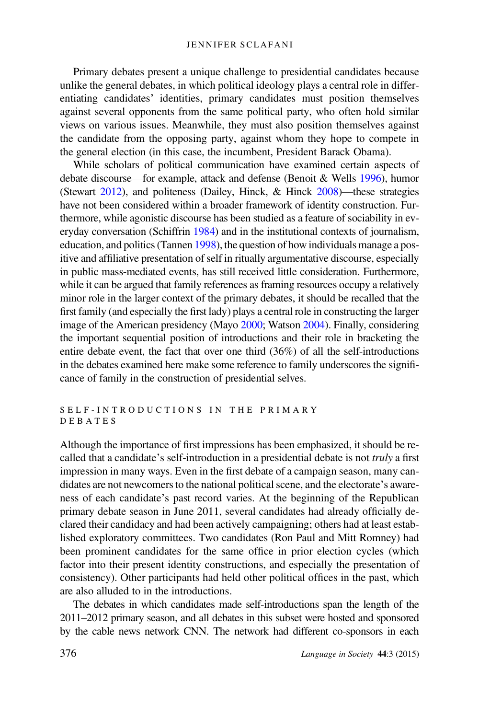#### JENNIFER SCLAFANI

Primary debates present a unique challenge to presidential candidates because unlike the general debates, in which political ideology plays a central role in differentiating candidates' identities, primary candidates must position themselves against several opponents from the same political party, who often hold similar views on various issues. Meanwhile, they must also position themselves against the candidate from the opposing party, against whom they hope to compete in the general election (in this case, the incumbent, President Barack Obama).

While scholars of political communication have examined certain aspects of debate discourse—for example, attack and defense (Benoit & Wells [1996\)](#page-29-0), humor (Stewart [2012\)](#page-30-0), and politeness (Dailey, Hinck, & Hinck [2008](#page-29-0))—these strategies have not been considered within a broader framework of identity construction. Furthermore, while agonistic discourse has been studied as a feature of sociability in everyday conversation (Schiffrin [1984\)](#page-30-0) and in the institutional contexts of journalism, education, and politics (Tannen [1998\)](#page-30-0), the question of how individuals manage a positive and affiliative presentation of self in ritually argumentative discourse, especially in public mass-mediated events, has still received little consideration. Furthermore, while it can be argued that family references as framing resources occupy a relatively minor role in the larger context of the primary debates, it should be recalled that the first family (and especially the first lady) plays a central role in constructing the larger image of the American presidency (Mayo [2000;](#page-30-0) Watson [2004\)](#page-30-0). Finally, considering the important sequential position of introductions and their role in bracketing the entire debate event, the fact that over one third (36%) of all the self-introductions in the debates examined here make some reference to family underscores the significance of family in the construction of presidential selves.

#### SELF-INTRODUCTIONS IN THE PRIMARY DEBATES

Although the importance of first impressions has been emphasized, it should be recalled that a candidate's self-introduction in a presidential debate is not truly a first impression in many ways. Even in the first debate of a campaign season, many candidates are not newcomers to the national political scene, and the electorate's awareness of each candidate's past record varies. At the beginning of the Republican primary debate season in June 2011, several candidates had already officially declared their candidacy and had been actively campaigning; others had at least established exploratory committees. Two candidates (Ron Paul and Mitt Romney) had been prominent candidates for the same office in prior election cycles (which factor into their present identity constructions, and especially the presentation of consistency). Other participants had held other political offices in the past, which are also alluded to in the introductions.

The debates in which candidates made self-introductions span the length of the 2011–2012 primary season, and all debates in this subset were hosted and sponsored by the cable news network CNN. The network had different co-sponsors in each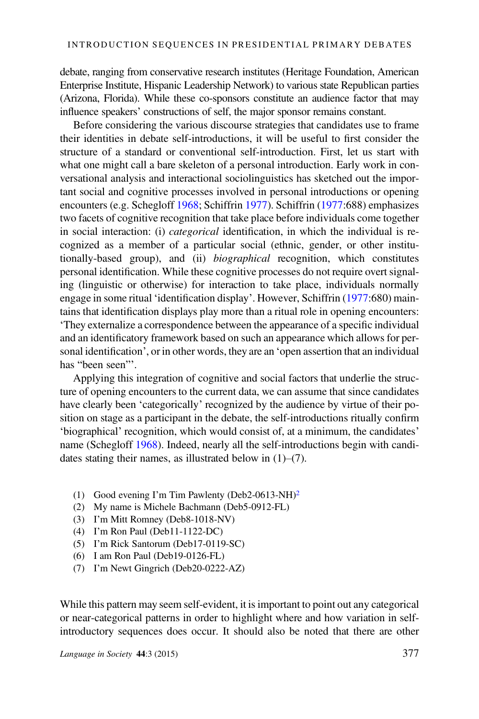debate, ranging from conservative research institutes (Heritage Foundation, American Enterprise Institute, Hispanic Leadership Network) to various state Republican parties (Arizona, Florida). While these co-sponsors constitute an audience factor that may influence speakers' constructions of self, the major sponsor remains constant.

Before considering the various discourse strategies that candidates use to frame their identities in debate self-introductions, it will be useful to first consider the structure of a standard or conventional self-introduction. First, let us start with what one might call a bare skeleton of a personal introduction. Early work in conversational analysis and interactional sociolinguistics has sketched out the important social and cognitive processes involved in personal introductions or opening encounters (e.g. Schegloff [1968](#page-30-0); Schiffrin [1977](#page-30-0)). Schiffrin [\(1977](#page-30-0):688) emphasizes two facets of cognitive recognition that take place before individuals come together in social interaction: (i) *categorical* identification, in which the individual is recognized as a member of a particular social (ethnic, gender, or other institutionally-based group), and (ii) biographical recognition, which constitutes personal identification. While these cognitive processes do not require overt signaling (linguistic or otherwise) for interaction to take place, individuals normally engage in some ritual 'identification display'. However, Schiffrin [\(1977](#page-30-0):680) maintains that identification displays play more than a ritual role in opening encounters: 'They externalize a correspondence between the appearance of a specific individual and an identificatory framework based on such an appearance which allows for personal identification', or in other words, they are an 'open assertion that an individual has "been seen"'.

Applying this integration of cognitive and social factors that underlie the structure of opening encounters to the current data, we can assume that since candidates have clearly been 'categorically' recognized by the audience by virtue of their position on stage as a participant in the debate, the self-introductions ritually confirm 'biographical' recognition, which would consist of, at a minimum, the candidates' name (Schegloff [1968](#page-30-0)). Indeed, nearly all the self-introductions begin with candidates stating their names, as illustrated below in  $(1)$ – $(7)$ .

- (1) Good evening I'm Tim Pawlenty (Deb2-0613-NH)[2](#page-28-0)
- (2) My name is Michele Bachmann (Deb5-0912-FL)
- (3) I'm Mitt Romney (Deb8-1018-NV)
- (4) I'm Ron Paul (Deb11-1122-DC)
- (5) I'm Rick Santorum (Deb17-0119-SC)
- (6) I am Ron Paul (Deb19-0126-FL)
- (7) I'm Newt Gingrich (Deb20-0222-AZ)

While this pattern may seem self-evident, it is important to point out any categorical or near-categorical patterns in order to highlight where and how variation in selfintroductory sequences does occur. It should also be noted that there are other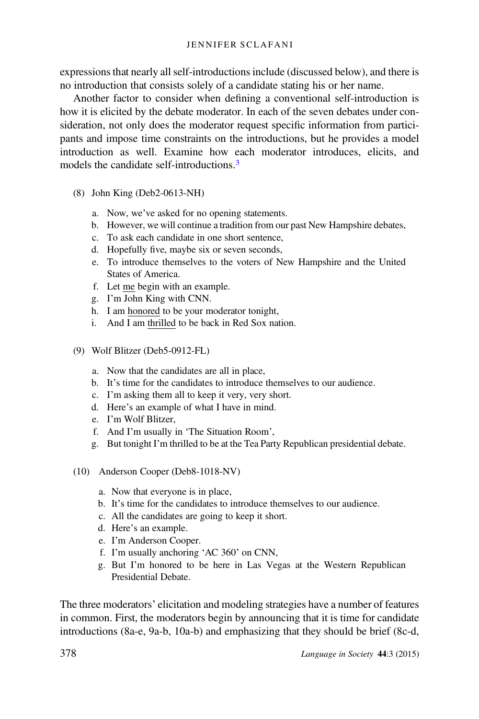expressions that nearly all self-introductions include (discussed below), and there is no introduction that consists solely of a candidate stating his or her name.

Another factor to consider when defining a conventional self-introduction is how it is elicited by the debate moderator. In each of the seven debates under consideration, not only does the moderator request specific information from participants and impose time constraints on the introductions, but he provides a model introduction as well. Examine how each moderator introduces, elicits, and models the candidate self-introductions.<sup>[3](#page-28-0)</sup>

- (8) John King (Deb2-0613-NH)
	- a. Now, we've asked for no opening statements.
	- b. However, we will continue a tradition from our past New Hampshire debates,
	- c. To ask each candidate in one short sentence,
	- d. Hopefully five, maybe six or seven seconds,
	- e. To introduce themselves to the voters of New Hampshire and the United States of America.
	- f. Let me begin with an example.
	- g. I'm John King with CNN.
	- h. I am honored to be your moderator tonight,
	- i. And I am thrilled to be back in Red Sox nation.
- (9) Wolf Blitzer (Deb5-0912-FL)
	- a. Now that the candidates are all in place,
	- b. It's time for the candidates to introduce themselves to our audience.
	- c. I'm asking them all to keep it very, very short.
	- d. Here's an example of what I have in mind.
	- e. I'm Wolf Blitzer,
	- f. And I'm usually in 'The Situation Room',
	- g. But tonight I'm thrilled to be at the Tea Party Republican presidential debate.
- (10) Anderson Cooper (Deb8-1018-NV)
	- a. Now that everyone is in place,
	- b. It's time for the candidates to introduce themselves to our audience.
	- c. All the candidates are going to keep it short.
	- d. Here's an example.
	- e. I'm Anderson Cooper.
	- f. I'm usually anchoring 'AC 360' on CNN,
	- g. But I'm honored to be here in Las Vegas at the Western Republican Presidential Debate.

The three moderators' elicitation and modeling strategies have a number of features in common. First, the moderators begin by announcing that it is time for candidate introductions (8a-e, 9a-b, 10a-b) and emphasizing that they should be brief (8c-d,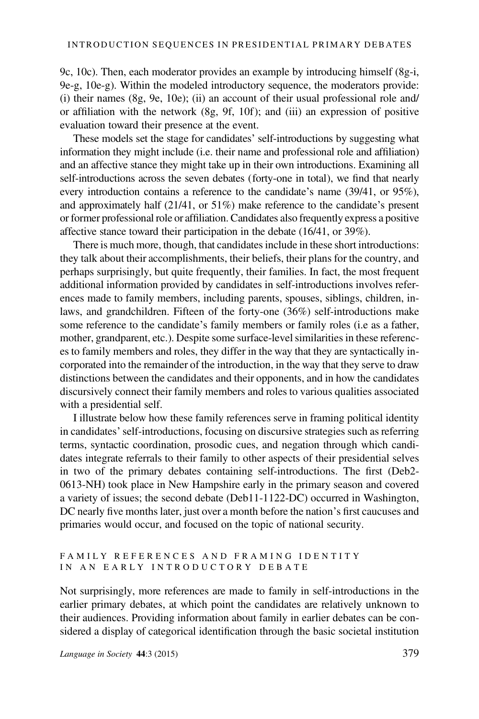9c, 10c). Then, each moderator provides an example by introducing himself (8g-i, 9e-g, 10e-g). Within the modeled introductory sequence, the moderators provide: (i) their names (8g, 9e, 10e); (ii) an account of their usual professional role and/ or affiliation with the network (8g, 9f, 10f); and (iii) an expression of positive evaluation toward their presence at the event.

These models set the stage for candidates' self-introductions by suggesting what information they might include (i.e. their name and professional role and affiliation) and an affective stance they might take up in their own introductions. Examining all self-introductions across the seven debates (forty-one in total), we find that nearly every introduction contains a reference to the candidate's name (39/41, or 95%), and approximately half (21/41, or 51%) make reference to the candidate's present or former professional role or affiliation. Candidates also frequently express a positive affective stance toward their participation in the debate (16/41, or 39%).

There is much more, though, that candidates include in these short introductions: they talk about their accomplishments, their beliefs, their plans for the country, and perhaps surprisingly, but quite frequently, their families. In fact, the most frequent additional information provided by candidates in self-introductions involves references made to family members, including parents, spouses, siblings, children, inlaws, and grandchildren. Fifteen of the forty-one (36%) self-introductions make some reference to the candidate's family members or family roles (i.e as a father, mother, grandparent, etc.). Despite some surface-level similarities in these references to family members and roles, they differ in the way that they are syntactically incorporated into the remainder of the introduction, in the way that they serve to draw distinctions between the candidates and their opponents, and in how the candidates discursively connect their family members and roles to various qualities associated with a presidential self.

I illustrate below how these family references serve in framing political identity in candidates' self-introductions, focusing on discursive strategies such as referring terms, syntactic coordination, prosodic cues, and negation through which candidates integrate referrals to their family to other aspects of their presidential selves in two of the primary debates containing self-introductions. The first (Deb2- 0613-NH) took place in New Hampshire early in the primary season and covered a variety of issues; the second debate (Deb11-1122-DC) occurred in Washington, DC nearly five months later, just over a month before the nation's first caucuses and primaries would occur, and focused on the topic of national security.

## FAMILY REFERENCES AND FRAMING IDENTITY IN AN EARLY INTRODUCTORY DEBATE

Not surprisingly, more references are made to family in self-introductions in the earlier primary debates, at which point the candidates are relatively unknown to their audiences. Providing information about family in earlier debates can be considered a display of categorical identification through the basic societal institution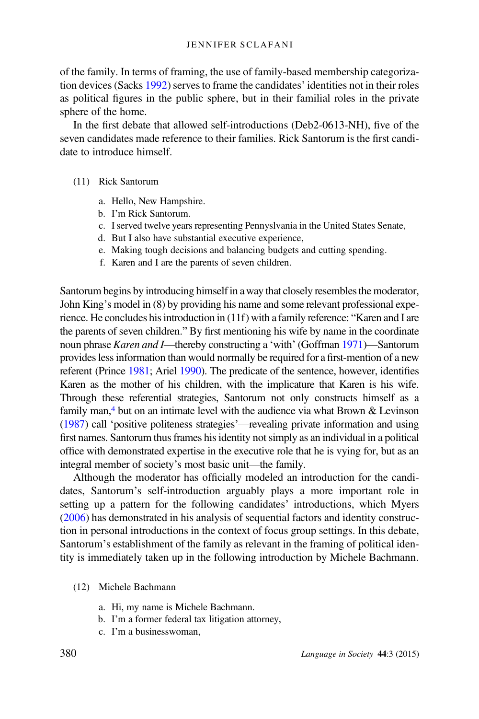of the family. In terms of framing, the use of family-based membership categorization devices (Sacks [1992\)](#page-30-0) serves to frame the candidates' identities not in their roles as political figures in the public sphere, but in their familial roles in the private sphere of the home.

In the first debate that allowed self-introductions (Deb2-0613-NH), five of the seven candidates made reference to their families. Rick Santorum is the first candidate to introduce himself.

#### (11) Rick Santorum

- a. Hello, New Hampshire.
- b. I'm Rick Santorum.
- c. I served twelve years representing Pennyslvania in the United States Senate,
- d. But I also have substantial executive experience,
- e. Making tough decisions and balancing budgets and cutting spending.
- f. Karen and I are the parents of seven children.

Santorum begins by introducing himself in a way that closely resembles the moderator, John King's model in (8) by providing his name and some relevant professional experience. He concludes his introduction in (11f) with a family reference: "Karen and I are the parents of seven children." By first mentioning his wife by name in the coordinate noun phrase *Karen and I*—thereby constructing a 'with' (Goffman [1971\)](#page-29-0)—Santorum provides less information than would normally be required for a first-mention of a new referent (Prince [1981;](#page-30-0) Ariel [1990](#page-29-0)). The predicate of the sentence, however, identifies Karen as the mother of his children, with the implicature that Karen is his wife. Through these referential strategies, Santorum not only constructs himself as a family man, $4$  but on an intimate level with the audience via what Brown  $\&$  Levinson [\(1987](#page-29-0)) call 'positive politeness strategies'—revealing private information and using first names. Santorum thus frames his identity not simply as an individual in a political office with demonstrated expertise in the executive role that he is vying for, but as an integral member of society's most basic unit—the family.

Although the moderator has officially modeled an introduction for the candidates, Santorum's self-introduction arguably plays a more important role in setting up a pattern for the following candidates' introductions, which Myers [\(2006](#page-30-0)) has demonstrated in his analysis of sequential factors and identity construction in personal introductions in the context of focus group settings. In this debate, Santorum's establishment of the family as relevant in the framing of political identity is immediately taken up in the following introduction by Michele Bachmann.

(12) Michele Bachmann

- a. Hi, my name is Michele Bachmann.
- b. I'm a former federal tax litigation attorney,
- c. I'm a businesswoman,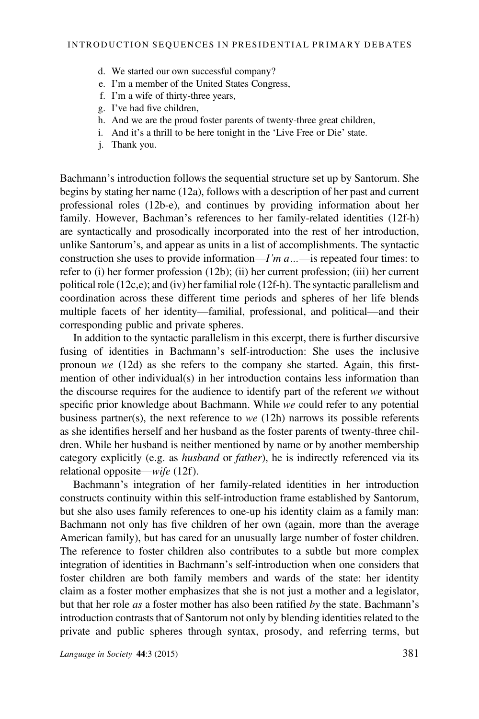- d. We started our own successful company?
- e. I'm a member of the United States Congress,
- f. I'm a wife of thirty-three years,
- g. I've had five children,
- h. And we are the proud foster parents of twenty-three great children,
- i. And it's a thrill to be here tonight in the 'Live Free or Die' state.
- j. Thank you.

Bachmann's introduction follows the sequential structure set up by Santorum. She begins by stating her name (12a), follows with a description of her past and current professional roles (12b-e), and continues by providing information about her family. However, Bachman's references to her family-related identities (12f-h) are syntactically and prosodically incorporated into the rest of her introduction, unlike Santorum's, and appear as units in a list of accomplishments. The syntactic construction she uses to provide information—I'm a...—is repeated four times: to refer to (i) her former profession (12b); (ii) her current profession; (iii) her current political role (12c,e); and (iv) her familial role (12f-h). The syntactic parallelism and coordination across these different time periods and spheres of her life blends multiple facets of her identity—familial, professional, and political—and their corresponding public and private spheres.

In addition to the syntactic parallelism in this excerpt, there is further discursive fusing of identities in Bachmann's self-introduction: She uses the inclusive pronoun we (12d) as she refers to the company she started. Again, this firstmention of other individual(s) in her introduction contains less information than the discourse requires for the audience to identify part of the referent we without specific prior knowledge about Bachmann. While we could refer to any potential business partner(s), the next reference to we  $(12h)$  narrows its possible referents as she identifies herself and her husband as the foster parents of twenty-three children. While her husband is neither mentioned by name or by another membership category explicitly (e.g. as husband or father), he is indirectly referenced via its relational opposite—wife (12f).

Bachmann's integration of her family-related identities in her introduction constructs continuity within this self-introduction frame established by Santorum, but she also uses family references to one-up his identity claim as a family man: Bachmann not only has five children of her own (again, more than the average American family), but has cared for an unusually large number of foster children. The reference to foster children also contributes to a subtle but more complex integration of identities in Bachmann's self-introduction when one considers that foster children are both family members and wards of the state: her identity claim as a foster mother emphasizes that she is not just a mother and a legislator, but that her role *as* a foster mother has also been ratified *by* the state. Bachmann's introduction contrasts that of Santorum not only by blending identities related to the private and public spheres through syntax, prosody, and referring terms, but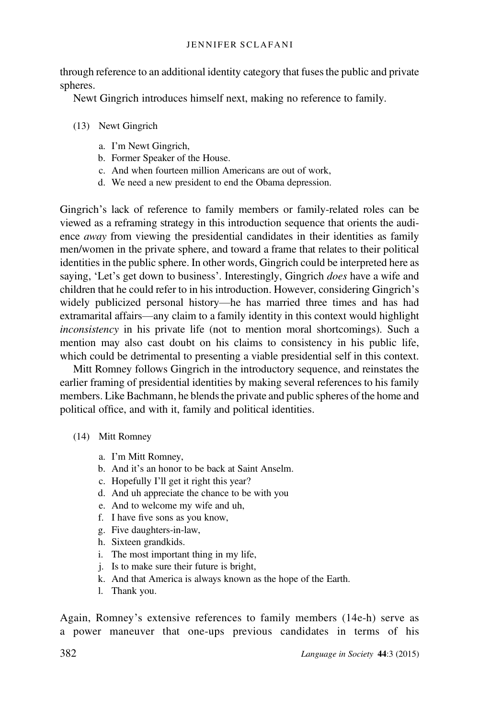## JENNIFER SCLAFANI

through reference to an additional identity category that fuses the public and private spheres.

Newt Gingrich introduces himself next, making no reference to family.

- (13) Newt Gingrich
	- a. I'm Newt Gingrich,
	- b. Former Speaker of the House.
	- c. And when fourteen million Americans are out of work,
	- d. We need a new president to end the Obama depression.

Gingrich's lack of reference to family members or family-related roles can be viewed as a reframing strategy in this introduction sequence that orients the audience away from viewing the presidential candidates in their identities as family men/women in the private sphere, and toward a frame that relates to their political identities in the public sphere. In other words, Gingrich could be interpreted here as saying, 'Let's get down to business'. Interestingly, Gingrich does have a wife and children that he could refer to in his introduction. However, considering Gingrich's widely publicized personal history—he has married three times and has had extramarital affairs—any claim to a family identity in this context would highlight inconsistency in his private life (not to mention moral shortcomings). Such a mention may also cast doubt on his claims to consistency in his public life, which could be detrimental to presenting a viable presidential self in this context.

Mitt Romney follows Gingrich in the introductory sequence, and reinstates the earlier framing of presidential identities by making several references to his family members. Like Bachmann, he blends the private and public spheres of the home and political office, and with it, family and political identities.

# (14) Mitt Romney

- a. I'm Mitt Romney,
- b. And it's an honor to be back at Saint Anselm.
- c. Hopefully I'll get it right this year?
- d. And uh appreciate the chance to be with you
- e. And to welcome my wife and uh,
- f. I have five sons as you know,
- g. Five daughters-in-law,
- h. Sixteen grandkids.
- i. The most important thing in my life,
- j. Is to make sure their future is bright,
- k. And that America is always known as the hope of the Earth.
- l. Thank you.

Again, Romney's extensive references to family members (14e-h) serve as a power maneuver that one-ups previous candidates in terms of his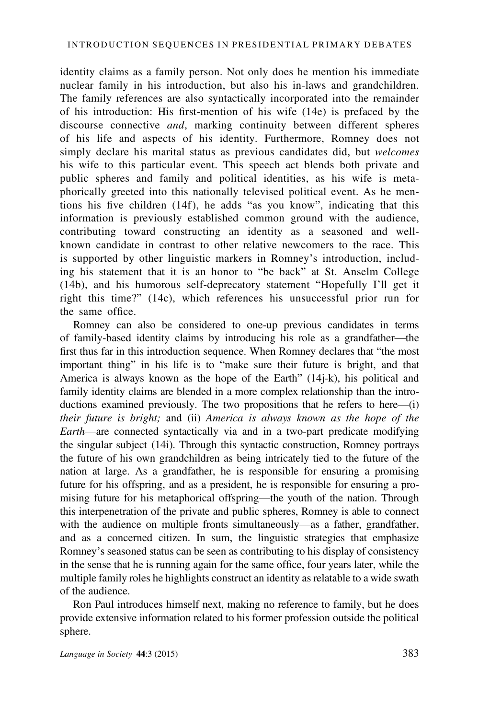identity claims as a family person. Not only does he mention his immediate nuclear family in his introduction, but also his in-laws and grandchildren. The family references are also syntactically incorporated into the remainder of his introduction: His first-mention of his wife (14e) is prefaced by the discourse connective *and*, marking continuity between different spheres of his life and aspects of his identity. Furthermore, Romney does not simply declare his marital status as previous candidates did, but welcomes his wife to this particular event. This speech act blends both private and public spheres and family and political identities, as his wife is metaphorically greeted into this nationally televised political event. As he mentions his five children (14f), he adds "as you know", indicating that this information is previously established common ground with the audience, contributing toward constructing an identity as a seasoned and wellknown candidate in contrast to other relative newcomers to the race. This is supported by other linguistic markers in Romney's introduction, including his statement that it is an honor to "be back" at St. Anselm College (14b), and his humorous self-deprecatory statement "Hopefully I'll get it right this time?" (14c), which references his unsuccessful prior run for the same office.

Romney can also be considered to one-up previous candidates in terms of family-based identity claims by introducing his role as a grandfather—the first thus far in this introduction sequence. When Romney declares that "the most important thing" in his life is to "make sure their future is bright, and that America is always known as the hope of the Earth" (14j-k), his political and family identity claims are blended in a more complex relationship than the introductions examined previously. The two propositions that he refers to here—(i) their future is bright; and (ii) America is always known as the hope of the Earth—are connected syntactically via and in a two-part predicate modifying the singular subject (14i). Through this syntactic construction, Romney portrays the future of his own grandchildren as being intricately tied to the future of the nation at large. As a grandfather, he is responsible for ensuring a promising future for his offspring, and as a president, he is responsible for ensuring a promising future for his metaphorical offspring—the youth of the nation. Through this interpenetration of the private and public spheres, Romney is able to connect with the audience on multiple fronts simultaneously—as a father, grandfather, and as a concerned citizen. In sum, the linguistic strategies that emphasize Romney's seasoned status can be seen as contributing to his display of consistency in the sense that he is running again for the same office, four years later, while the multiple family roles he highlights construct an identity as relatable to a wide swath of the audience.

Ron Paul introduces himself next, making no reference to family, but he does provide extensive information related to his former profession outside the political sphere.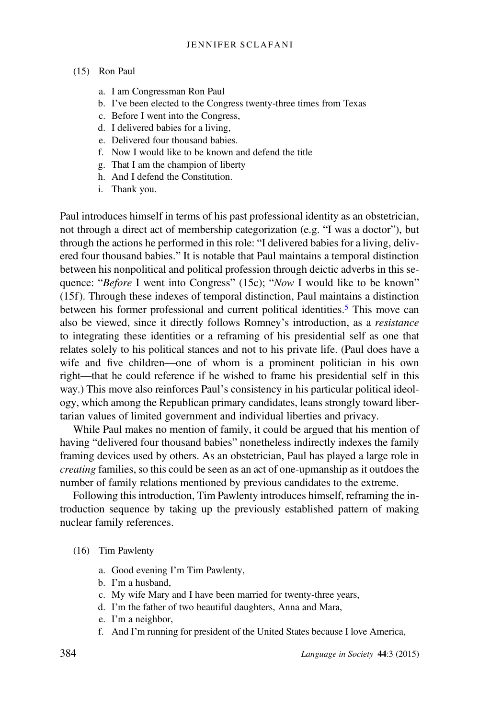#### (15) Ron Paul

- a. I am Congressman Ron Paul
- b. I've been elected to the Congress twenty-three times from Texas
- c. Before I went into the Congress,
- d. I delivered babies for a living,
- e. Delivered four thousand babies.
- f. Now I would like to be known and defend the title
- g. That I am the champion of liberty
- h. And I defend the Constitution.
- i. Thank you.

Paul introduces himself in terms of his past professional identity as an obstetrician, not through a direct act of membership categorization (e.g. "I was a doctor"), but through the actions he performed in this role: "I delivered babies for a living, delivered four thousand babies." It is notable that Paul maintains a temporal distinction between his nonpolitical and political profession through deictic adverbs in this sequence: "Before I went into Congress" (15c); "Now I would like to be known" (15f). Through these indexes of temporal distinction, Paul maintains a distinction between his former professional and current political identities.<sup>[5](#page-28-0)</sup> This move can also be viewed, since it directly follows Romney's introduction, as a resistance to integrating these identities or a reframing of his presidential self as one that relates solely to his political stances and not to his private life. (Paul does have a wife and five children—one of whom is a prominent politician in his own right—that he could reference if he wished to frame his presidential self in this way.) This move also reinforces Paul's consistency in his particular political ideology, which among the Republican primary candidates, leans strongly toward libertarian values of limited government and individual liberties and privacy.

While Paul makes no mention of family, it could be argued that his mention of having "delivered four thousand babies" nonetheless indirectly indexes the family framing devices used by others. As an obstetrician, Paul has played a large role in creating families, so this could be seen as an act of one-upmanship as it outdoes the number of family relations mentioned by previous candidates to the extreme.

Following this introduction, Tim Pawlenty introduces himself, reframing the introduction sequence by taking up the previously established pattern of making nuclear family references.

- (16) Tim Pawlenty
	- a. Good evening I'm Tim Pawlenty,
	- b. I'm a husband,
	- c. My wife Mary and I have been married for twenty-three years,
	- d. I'm the father of two beautiful daughters, Anna and Mara,
	- e. I'm a neighbor,
	- f. And I'm running for president of the United States because I love America,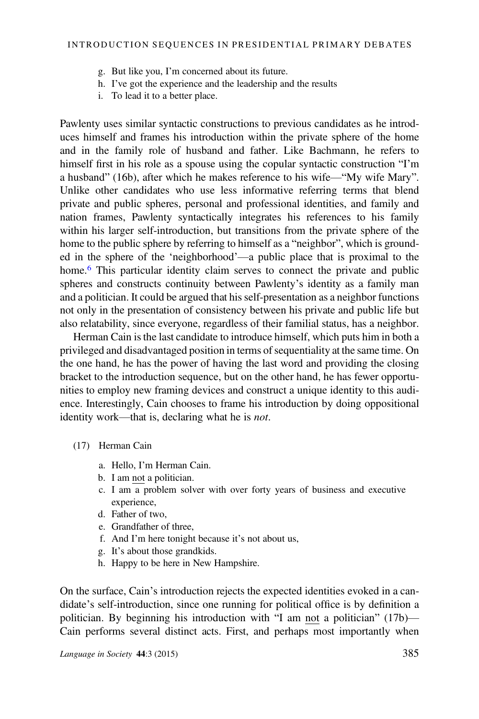- g. But like you, I'm concerned about its future.
- h. I've got the experience and the leadership and the results
- i. To lead it to a better place.

Pawlenty uses similar syntactic constructions to previous candidates as he introduces himself and frames his introduction within the private sphere of the home and in the family role of husband and father. Like Bachmann, he refers to himself first in his role as a spouse using the copular syntactic construction "I'm a husband" (16b), after which he makes reference to his wife—"My wife Mary". Unlike other candidates who use less informative referring terms that blend private and public spheres, personal and professional identities, and family and nation frames, Pawlenty syntactically integrates his references to his family within his larger self-introduction, but transitions from the private sphere of the home to the public sphere by referring to himself as a "neighbor", which is grounded in the sphere of the 'neighborhood'—a public place that is proximal to the home.<sup>[6](#page-28-0)</sup> This particular identity claim serves to connect the private and public spheres and constructs continuity between Pawlenty's identity as a family man and a politician. It could be argued that his self-presentation as a neighbor functions not only in the presentation of consistency between his private and public life but also relatability, since everyone, regardless of their familial status, has a neighbor.

Herman Cain is the last candidate to introduce himself, which puts him in both a privileged and disadvantaged position in terms of sequentiality at the same time. On the one hand, he has the power of having the last word and providing the closing bracket to the introduction sequence, but on the other hand, he has fewer opportunities to employ new framing devices and construct a unique identity to this audience. Interestingly, Cain chooses to frame his introduction by doing oppositional identity work—that is, declaring what he is not.

- (17) Herman Cain
	- a. Hello, I'm Herman Cain.
	- b. I am not a politician.
	- c. I am a problem solver with over forty years of business and executive experience,
	- d. Father of two,
	- e. Grandfather of three,
	- f. And I'm here tonight because it's not about us,
	- g. It's about those grandkids.
	- h. Happy to be here in New Hampshire.

On the surface, Cain's introduction rejects the expected identities evoked in a candidate's self-introduction, since one running for political office is by definition a politician. By beginning his introduction with "I am not a politician" (17b)— Cain performs several distinct acts. First, and perhaps most importantly when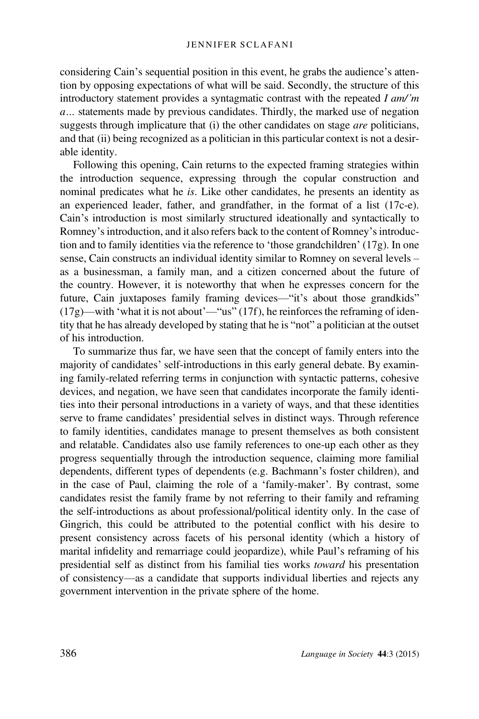considering Cain's sequential position in this event, he grabs the audience's attention by opposing expectations of what will be said. Secondly, the structure of this introductory statement provides a syntagmatic contrast with the repeated I am/'m a… statements made by previous candidates. Thirdly, the marked use of negation suggests through implicature that (i) the other candidates on stage *are* politicians, and that (ii) being recognized as a politician in this particular context is not a desirable identity.

Following this opening, Cain returns to the expected framing strategies within the introduction sequence, expressing through the copular construction and nominal predicates what he is. Like other candidates, he presents an identity as an experienced leader, father, and grandfather, in the format of a list (17c-e). Cain's introduction is most similarly structured ideationally and syntactically to Romney's introduction, and it also refers back to the content of Romney's introduction and to family identities via the reference to 'those grandchildren' (17g). In one sense, Cain constructs an individual identity similar to Romney on several levels – as a businessman, a family man, and a citizen concerned about the future of the country. However, it is noteworthy that when he expresses concern for the future, Cain juxtaposes family framing devices—"it's about those grandkids"  $(17g)$ —with 'what it is not about'—"us" (17f), he reinforces the reframing of identity that he has already developed by stating that he is "not" a politician at the outset of his introduction.

To summarize thus far, we have seen that the concept of family enters into the majority of candidates' self-introductions in this early general debate. By examining family-related referring terms in conjunction with syntactic patterns, cohesive devices, and negation, we have seen that candidates incorporate the family identities into their personal introductions in a variety of ways, and that these identities serve to frame candidates' presidential selves in distinct ways. Through reference to family identities, candidates manage to present themselves as both consistent and relatable. Candidates also use family references to one-up each other as they progress sequentially through the introduction sequence, claiming more familial dependents, different types of dependents (e.g. Bachmann's foster children), and in the case of Paul, claiming the role of a 'family-maker'. By contrast, some candidates resist the family frame by not referring to their family and reframing the self-introductions as about professional/political identity only. In the case of Gingrich, this could be attributed to the potential conflict with his desire to present consistency across facets of his personal identity (which a history of marital infidelity and remarriage could jeopardize), while Paul's reframing of his presidential self as distinct from his familial ties works toward his presentation of consistency—as a candidate that supports individual liberties and rejects any government intervention in the private sphere of the home.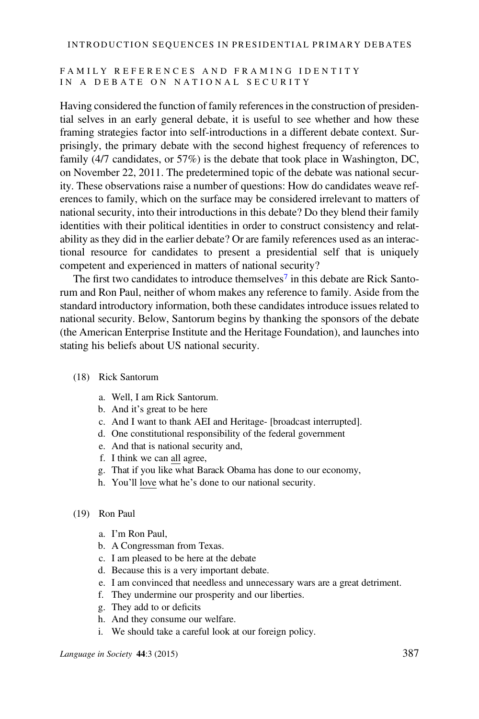## INTRODUCTION SEQUENCES IN PRESIDENTIAL PRIMARY DEBATES

## FAMILY REFERENCES AND FRAMING IDENTITY IN A DEBATE ON NATIONAL SECURITY

Having considered the function of family references in the construction of presidential selves in an early general debate, it is useful to see whether and how these framing strategies factor into self-introductions in a different debate context. Surprisingly, the primary debate with the second highest frequency of references to family (4/7 candidates, or 57%) is the debate that took place in Washington, DC, on November 22, 2011. The predetermined topic of the debate was national security. These observations raise a number of questions: How do candidates weave references to family, which on the surface may be considered irrelevant to matters of national security, into their introductions in this debate? Do they blend their family identities with their political identities in order to construct consistency and relatability as they did in the earlier debate? Or are family references used as an interactional resource for candidates to present a presidential self that is uniquely competent and experienced in matters of national security?

The first two candidates to introduce themselves<sup>[7](#page-28-0)</sup> in this debate are Rick Santorum and Ron Paul, neither of whom makes any reference to family. Aside from the standard introductory information, both these candidates introduce issues related to national security. Below, Santorum begins by thanking the sponsors of the debate (the American Enterprise Institute and the Heritage Foundation), and launches into stating his beliefs about US national security.

#### (18) Rick Santorum

- a. Well, I am Rick Santorum.
- b. And it's great to be here
- c. And I want to thank AEI and Heritage- [broadcast interrupted].
- d. One constitutional responsibility of the federal government
- e. And that is national security and,
- f. I think we can all agree,
- g. That if you like what Barack Obama has done to our economy,
- h. You'll love what he's done to our national security.

## (19) Ron Paul

- a. I'm Ron Paul,
- b. A Congressman from Texas.
- c. I am pleased to be here at the debate
- d. Because this is a very important debate.
- e. I am convinced that needless and unnecessary wars are a great detriment.
- f. They undermine our prosperity and our liberties.
- g. They add to or deficits
- h. And they consume our welfare.
- i. We should take a careful look at our foreign policy.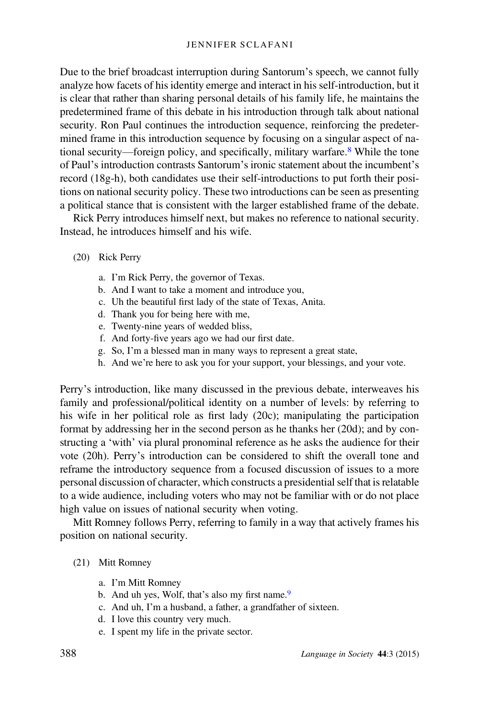Due to the brief broadcast interruption during Santorum's speech, we cannot fully analyze how facets of his identity emerge and interact in his self-introduction, but it is clear that rather than sharing personal details of his family life, he maintains the predetermined frame of this debate in his introduction through talk about national security. Ron Paul continues the introduction sequence, reinforcing the predetermined frame in this introduction sequence by focusing on a singular aspect of national security—foreign policy, and specifically, military warfare.<sup>8</sup> While the tone of Paul's introduction contrasts Santorum's ironic statement about the incumbent's record (18g-h), both candidates use their self-introductions to put forth their positions on national security policy. These two introductions can be seen as presenting a political stance that is consistent with the larger established frame of the debate.

Rick Perry introduces himself next, but makes no reference to national security. Instead, he introduces himself and his wife.

## (20) Rick Perry

- a. I'm Rick Perry, the governor of Texas.
- b. And I want to take a moment and introduce you,
- c. Uh the beautiful first lady of the state of Texas, Anita.
- d. Thank you for being here with me,
- e. Twenty-nine years of wedded bliss,
- f. And forty-five years ago we had our first date.
- g. So, I'm a blessed man in many ways to represent a great state,
- h. And we're here to ask you for your support, your blessings, and your vote.

Perry's introduction, like many discussed in the previous debate, interweaves his family and professional/political identity on a number of levels: by referring to his wife in her political role as first lady (20c); manipulating the participation format by addressing her in the second person as he thanks her (20d); and by constructing a 'with' via plural pronominal reference as he asks the audience for their vote (20h). Perry's introduction can be considered to shift the overall tone and reframe the introductory sequence from a focused discussion of issues to a more personal discussion of character, which constructs a presidential self that is relatable to a wide audience, including voters who may not be familiar with or do not place high value on issues of national security when voting.

Mitt Romney follows Perry, referring to family in a way that actively frames his position on national security.

#### (21) Mitt Romney

- a. I'm Mitt Romney
- b. And uh yes, Wolf, that's also my first name.<sup>9</sup>
- c. And uh, I'm a husband, a father, a grandfather of sixteen.
- d. I love this country very much.
- e. I spent my life in the private sector.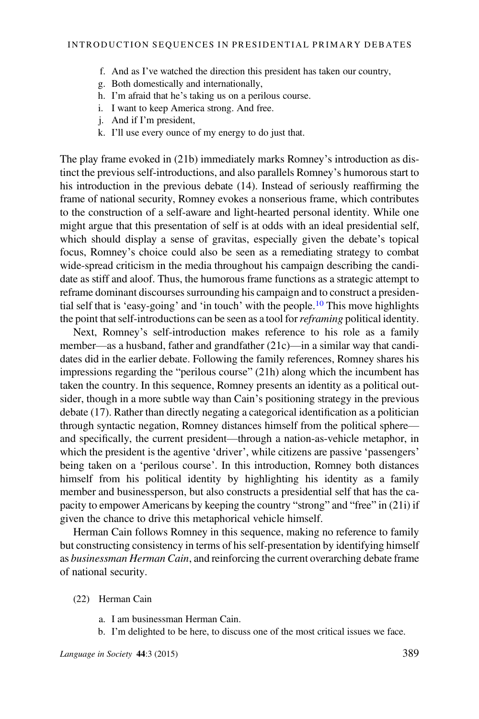- f. And as I've watched the direction this president has taken our country,
- g. Both domestically and internationally,
- h. I'm afraid that he's taking us on a perilous course.
- i. I want to keep America strong. And free.
- j. And if I'm president,
- k. I'll use every ounce of my energy to do just that.

The play frame evoked in (21b) immediately marks Romney's introduction as distinct the previous self-introductions, and also parallels Romney's humorous start to his introduction in the previous debate (14). Instead of seriously reaffirming the frame of national security, Romney evokes a nonserious frame, which contributes to the construction of a self-aware and light-hearted personal identity. While one might argue that this presentation of self is at odds with an ideal presidential self, which should display a sense of gravitas, especially given the debate's topical focus, Romney's choice could also be seen as a remediating strategy to combat wide-spread criticism in the media throughout his campaign describing the candidate as stiff and aloof. Thus, the humorous frame functions as a strategic attempt to reframe dominant discourses surrounding his campaign and to construct a presidential self that is 'easy-going' and 'in touch' with the people.[10](#page-28-0) This move highlights the point that self-introductions can be seen as a tool for *reframing* political identity.

Next, Romney's self-introduction makes reference to his role as a family member—as a husband, father and grandfather (21c)—in a similar way that candidates did in the earlier debate. Following the family references, Romney shares his impressions regarding the "perilous course" (21h) along which the incumbent has taken the country. In this sequence, Romney presents an identity as a political outsider, though in a more subtle way than Cain's positioning strategy in the previous debate (17). Rather than directly negating a categorical identification as a politician through syntactic negation, Romney distances himself from the political sphere and specifically, the current president—through a nation-as-vehicle metaphor, in which the president is the agentive 'driver', while citizens are passive 'passengers' being taken on a 'perilous course'. In this introduction, Romney both distances himself from his political identity by highlighting his identity as a family member and businessperson, but also constructs a presidential self that has the capacity to empower Americans by keeping the country "strong" and "free" in (21i) if given the chance to drive this metaphorical vehicle himself.

Herman Cain follows Romney in this sequence, making no reference to family but constructing consistency in terms of his self-presentation by identifying himself as businessman Herman Cain, and reinforcing the current overarching debate frame of national security.

- (22) Herman Cain
	- a. I am businessman Herman Cain.
	- b. I'm delighted to be here, to discuss one of the most critical issues we face.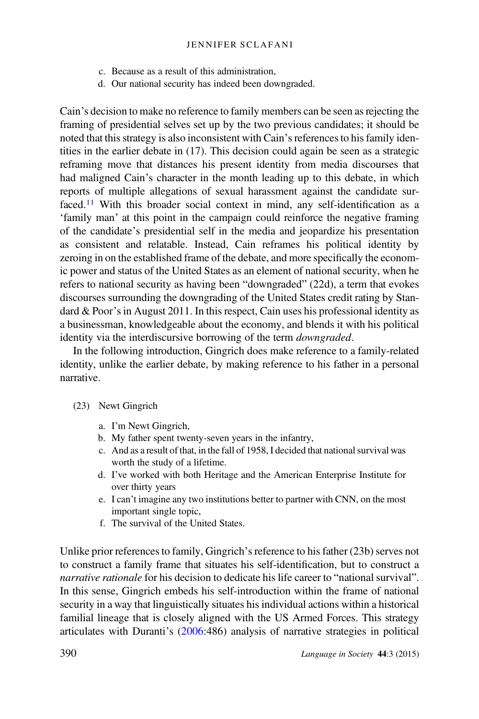## JENNIFER SCLAFANI

- c. Because as a result of this administration,
- d. Our national security has indeed been downgraded.

Cain's decision to make no reference to family members can be seen as rejecting the framing of presidential selves set up by the two previous candidates; it should be noted that this strategy is also inconsistent with Cain's references to his family identities in the earlier debate in (17). This decision could again be seen as a strategic reframing move that distances his present identity from media discourses that had maligned Cain's character in the month leading up to this debate, in which reports of multiple allegations of sexual harassment against the candidate sur-faced.<sup>[11](#page-28-0)</sup> With this broader social context in mind, any self-identification as a 'family man' at this point in the campaign could reinforce the negative framing of the candidate's presidential self in the media and jeopardize his presentation as consistent and relatable. Instead, Cain reframes his political identity by zeroing in on the established frame of the debate, and more specifically the economic power and status of the United States as an element of national security, when he refers to national security as having been "downgraded" (22d), a term that evokes discourses surrounding the downgrading of the United States credit rating by Standard & Poor's in August 2011. In this respect, Cain uses his professional identity as a businessman, knowledgeable about the economy, and blends it with his political identity via the interdiscursive borrowing of the term *downgraded*.

In the following introduction, Gingrich does make reference to a family-related identity, unlike the earlier debate, by making reference to his father in a personal narrative.

- (23) Newt Gingrich
	- a. I'm Newt Gingrich,
	- b. My father spent twenty-seven years in the infantry,
	- c. And as a result of that, in the fall of 1958, I decided that national survival was worth the study of a lifetime.
	- d. I've worked with both Heritage and the American Enterprise Institute for over thirty years
	- e. I can't imagine any two institutions better to partner with CNN, on the most important single topic,
	- f. The survival of the United States.

Unlike prior references to family, Gingrich's reference to his father (23b) serves not to construct a family frame that situates his self-identification, but to construct a narrative rationale for his decision to dedicate his life career to "national survival". In this sense, Gingrich embeds his self-introduction within the frame of national security in a way that linguistically situates his individual actions within a historical familial lineage that is closely aligned with the US Armed Forces. This strategy articulates with Duranti's ([2006:](#page-29-0)486) analysis of narrative strategies in political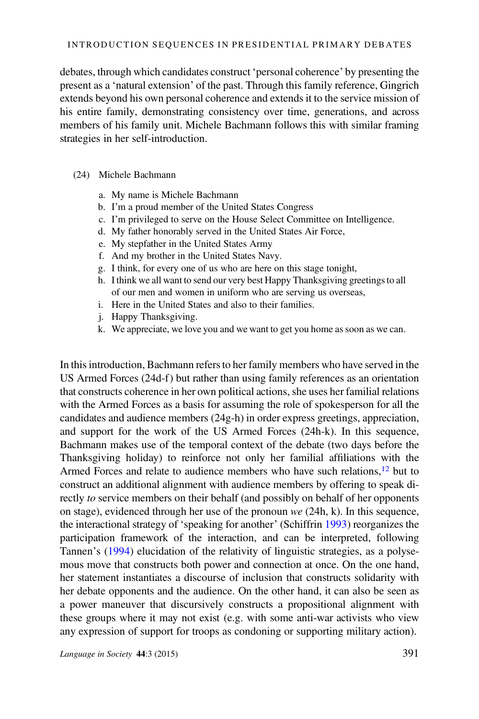debates, through which candidates construct 'personal coherence' by presenting the present as a 'natural extension' of the past. Through this family reference, Gingrich extends beyond his own personal coherence and extends it to the service mission of his entire family, demonstrating consistency over time, generations, and across members of his family unit. Michele Bachmann follows this with similar framing strategies in her self-introduction.

#### (24) Michele Bachmann

- a. My name is Michele Bachmann
- b. I'm a proud member of the United States Congress
- c. I'm privileged to serve on the House Select Committee on Intelligence.
- d. My father honorably served in the United States Air Force,
- e. My stepfather in the United States Army
- f. And my brother in the United States Navy.
- g. I think, for every one of us who are here on this stage tonight,
- h. I think we all want to send our very best Happy Thanksgiving greetings to all of our men and women in uniform who are serving us overseas,
- i. Here in the United States and also to their families.
- j. Happy Thanksgiving.
- k. We appreciate, we love you and we want to get you home as soon as we can.

In this introduction, Bachmann refers to her family members who have served in the US Armed Forces  $(24d-f)$  but rather than using family references as an orientation that constructs coherence in her own political actions, she uses her familial relations with the Armed Forces as a basis for assuming the role of spokesperson for all the candidates and audience members (24g-h) in order express greetings, appreciation, and support for the work of the US Armed Forces (24h-k). In this sequence, Bachmann makes use of the temporal context of the debate (two days before the Thanksgiving holiday) to reinforce not only her familial affiliations with the Armed Forces and relate to audience members who have such relations,<sup>[12](#page-28-0)</sup> but to construct an additional alignment with audience members by offering to speak directly to service members on their behalf (and possibly on behalf of her opponents on stage), evidenced through her use of the pronoun we (24h, k). In this sequence, the interactional strategy of 'speaking for another' (Schiffrin [1993](#page-30-0)) reorganizes the participation framework of the interaction, and can be interpreted, following Tannen's [\(1994](#page-30-0)) elucidation of the relativity of linguistic strategies, as a polysemous move that constructs both power and connection at once. On the one hand, her statement instantiates a discourse of inclusion that constructs solidarity with her debate opponents and the audience. On the other hand, it can also be seen as a power maneuver that discursively constructs a propositional alignment with these groups where it may not exist (e.g. with some anti-war activists who view any expression of support for troops as condoning or supporting military action).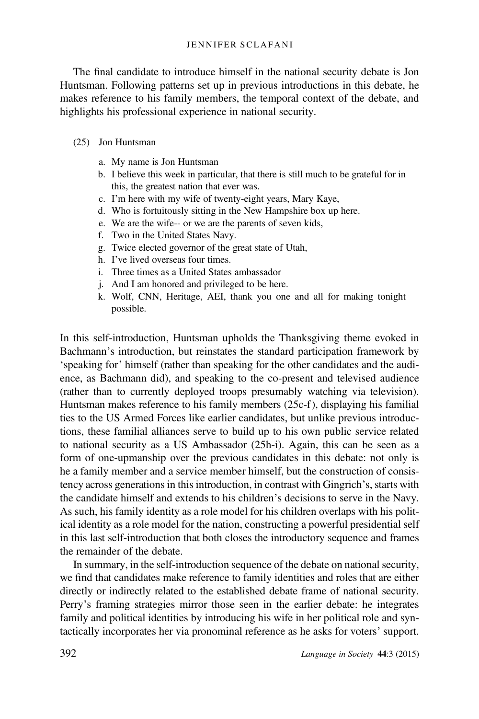The final candidate to introduce himself in the national security debate is Jon Huntsman. Following patterns set up in previous introductions in this debate, he makes reference to his family members, the temporal context of the debate, and highlights his professional experience in national security.

## (25) Jon Huntsman

- a. My name is Jon Huntsman
- b. I believe this week in particular, that there is still much to be grateful for in this, the greatest nation that ever was.
- c. I'm here with my wife of twenty-eight years, Mary Kaye,
- d. Who is fortuitously sitting in the New Hampshire box up here.
- e. We are the wife-- or we are the parents of seven kids,
- f. Two in the United States Navy.
- g. Twice elected governor of the great state of Utah,
- h. I've lived overseas four times.
- i. Three times as a United States ambassador
- j. And I am honored and privileged to be here.
- k. Wolf, CNN, Heritage, AEI, thank you one and all for making tonight possible.

In this self-introduction, Huntsman upholds the Thanksgiving theme evoked in Bachmann's introduction, but reinstates the standard participation framework by 'speaking for' himself (rather than speaking for the other candidates and the audience, as Bachmann did), and speaking to the co-present and televised audience (rather than to currently deployed troops presumably watching via television). Huntsman makes reference to his family members (25c-f), displaying his familial ties to the US Armed Forces like earlier candidates, but unlike previous introductions, these familial alliances serve to build up to his own public service related to national security as a US Ambassador (25h-i). Again, this can be seen as a form of one-upmanship over the previous candidates in this debate: not only is he a family member and a service member himself, but the construction of consistency across generations in this introduction, in contrast with Gingrich's, starts with the candidate himself and extends to his children's decisions to serve in the Navy. As such, his family identity as a role model for his children overlaps with his political identity as a role model for the nation, constructing a powerful presidential self in this last self-introduction that both closes the introductory sequence and frames the remainder of the debate.

In summary, in the self-introduction sequence of the debate on national security, we find that candidates make reference to family identities and roles that are either directly or indirectly related to the established debate frame of national security. Perry's framing strategies mirror those seen in the earlier debate: he integrates family and political identities by introducing his wife in her political role and syntactically incorporates her via pronominal reference as he asks for voters' support.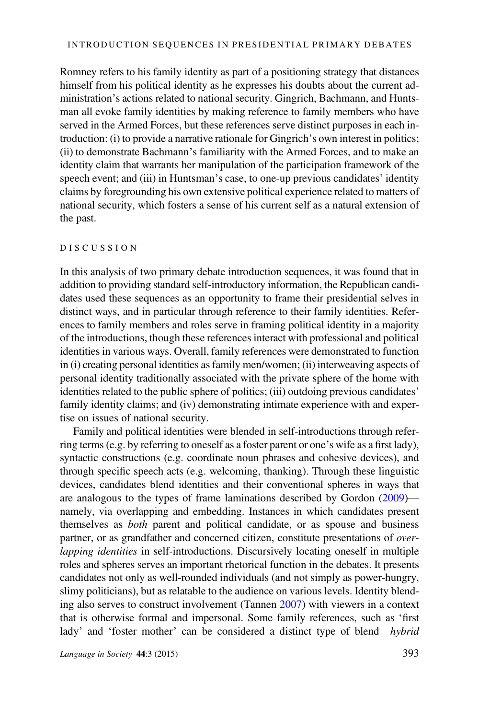Romney refers to his family identity as part of a positioning strategy that distances himself from his political identity as he expresses his doubts about the current administration's actions related to national security. Gingrich, Bachmann, and Huntsman all evoke family identities by making reference to family members who have served in the Armed Forces, but these references serve distinct purposes in each introduction: (i) to provide a narrative rationale for Gingrich's own interest in politics; (ii) to demonstrate Bachmann's familiarity with the Armed Forces, and to make an identity claim that warrants her manipulation of the participation framework of the speech event; and (iii) in Huntsman's case, to one-up previous candidates' identity claims by foregrounding his own extensive political experience related to matters of national security, which fosters a sense of his current self as a natural extension of the past.

#### DISCUSSION

In this analysis of two primary debate introduction sequences, it was found that in addition to providing standard self-introductory information, the Republican candidates used these sequences as an opportunity to frame their presidential selves in distinct ways, and in particular through reference to their family identities. References to family members and roles serve in framing political identity in a majority of the introductions, though these references interact with professional and political identities in various ways. Overall, family references were demonstrated to function in (i) creating personal identities as family men/women; (ii) interweaving aspects of personal identity traditionally associated with the private sphere of the home with identities related to the public sphere of politics; (iii) outdoing previous candidates' family identity claims; and (iv) demonstrating intimate experience with and expertise on issues of national security.

Family and political identities were blended in self-introductions through referring terms (e.g. by referring to oneself as a foster parent or one's wife as a first lady), syntactic constructions (e.g. coordinate noun phrases and cohesive devices), and through specific speech acts (e.g. welcoming, thanking). Through these linguistic devices, candidates blend identities and their conventional spheres in ways that are analogous to the types of frame laminations described by Gordon ([2009\)](#page-29-0) namely, via overlapping and embedding. Instances in which candidates present themselves as both parent and political candidate, or as spouse and business partner, or as grandfather and concerned citizen, constitute presentations of overlapping identities in self-introductions. Discursively locating oneself in multiple roles and spheres serves an important rhetorical function in the debates. It presents candidates not only as well-rounded individuals (and not simply as power-hungry, slimy politicians), but as relatable to the audience on various levels. Identity blending also serves to construct involvement (Tannen [2007](#page-30-0)) with viewers in a context that is otherwise formal and impersonal. Some family references, such as 'first lady' and 'foster mother' can be considered a distinct type of blend—hybrid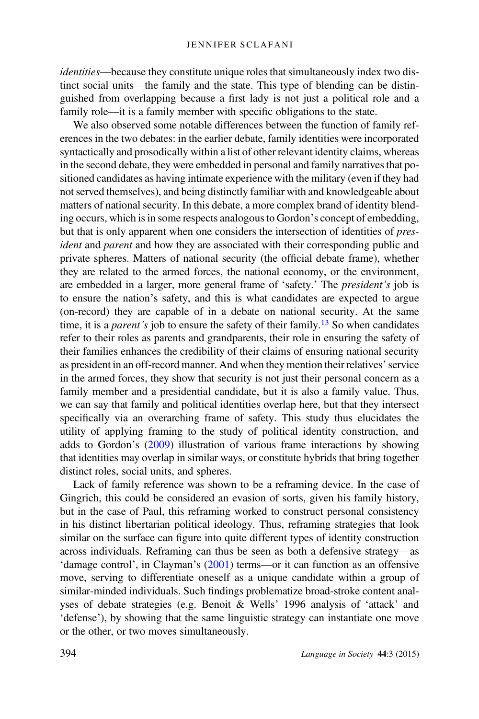identities—because they constitute unique roles that simultaneously index two distinct social units—the family and the state. This type of blending can be distinguished from overlapping because a first lady is not just a political role and a family role—it is a family member with specific obligations to the state.

We also observed some notable differences between the function of family references in the two debates: in the earlier debate, family identities were incorporated syntactically and prosodically within a list of other relevant identity claims, whereas in the second debate, they were embedded in personal and family narratives that positioned candidates as having intimate experience with the military (even if they had not served themselves), and being distinctly familiar with and knowledgeable about matters of national security. In this debate, a more complex brand of identity blending occurs, which is in some respects analogous to Gordon's concept of embedding, but that is only apparent when one considers the intersection of identities of president and parent and how they are associated with their corresponding public and private spheres. Matters of national security (the official debate frame), whether they are related to the armed forces, the national economy, or the environment, are embedded in a larger, more general frame of 'safety.' The president's job is to ensure the nation's safety, and this is what candidates are expected to argue (on-record) they are capable of in a debate on national security. At the same time, it is a *parent's* job to ensure the safety of their family.<sup>13</sup> So when candidates refer to their roles as parents and grandparents, their role in ensuring the safety of their families enhances the credibility of their claims of ensuring national security as president in an off-record manner. And when they mention their relatives'service in the armed forces, they show that security is not just their personal concern as a family member and a presidential candidate, but it is also a family value. Thus, we can say that family and political identities overlap here, but that they intersect specifically via an overarching frame of safety. This study thus elucidates the utility of applying framing to the study of political identity construction, and adds to Gordon's [\(2009](#page-29-0)) illustration of various frame interactions by showing that identities may overlap in similar ways, or constitute hybrids that bring together distinct roles, social units, and spheres.

Lack of family reference was shown to be a reframing device. In the case of Gingrich, this could be considered an evasion of sorts, given his family history, but in the case of Paul, this reframing worked to construct personal consistency in his distinct libertarian political ideology. Thus, reframing strategies that look similar on the surface can figure into quite different types of identity construction across individuals. Reframing can thus be seen as both a defensive strategy—as 'damage control', in Clayman's [\(2001](#page-29-0)) terms—or it can function as an offensive move, serving to differentiate oneself as a unique candidate within a group of similar-minded individuals. Such findings problematize broad-stroke content analyses of debate strategies (e.g. Benoit & Wells' 1996 analysis of 'attack' and 'defense'), by showing that the same linguistic strategy can instantiate one move or the other, or two moves simultaneously.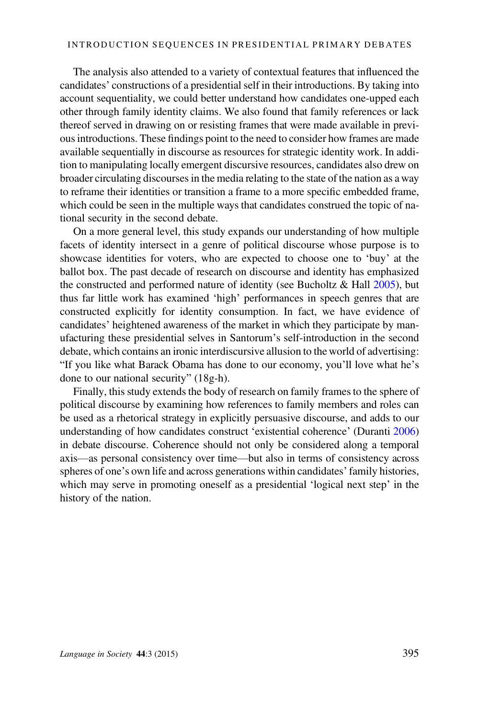The analysis also attended to a variety of contextual features that influenced the candidates' constructions of a presidential self in their introductions. By taking into account sequentiality, we could better understand how candidates one-upped each other through family identity claims. We also found that family references or lack thereof served in drawing on or resisting frames that were made available in previous introductions. These findings point to the need to consider how frames are made available sequentially in discourse as resources for strategic identity work. In addition to manipulating locally emergent discursive resources, candidates also drew on broader circulating discourses in the media relating to the state of the nation as a way to reframe their identities or transition a frame to a more specific embedded frame, which could be seen in the multiple ways that candidates construed the topic of national security in the second debate.

On a more general level, this study expands our understanding of how multiple facets of identity intersect in a genre of political discourse whose purpose is to showcase identities for voters, who are expected to choose one to 'buy' at the ballot box. The past decade of research on discourse and identity has emphasized the constructed and performed nature of identity (see Bucholtz & Hall [2005\)](#page-29-0), but thus far little work has examined 'high' performances in speech genres that are constructed explicitly for identity consumption. In fact, we have evidence of candidates' heightened awareness of the market in which they participate by manufacturing these presidential selves in Santorum's self-introduction in the second debate, which contains an ironic interdiscursive allusion to the world of advertising: "If you like what Barack Obama has done to our economy, you'll love what he's done to our national security" (18g-h).

Finally, this study extends the body of research on family frames to the sphere of political discourse by examining how references to family members and roles can be used as a rhetorical strategy in explicitly persuasive discourse, and adds to our understanding of how candidates construct 'existential coherence' (Duranti [2006\)](#page-29-0) in debate discourse. Coherence should not only be considered along a temporal axis—as personal consistency over time—but also in terms of consistency across spheres of one's own life and across generations within candidates' family histories, which may serve in promoting oneself as a presidential 'logical next step' in the history of the nation.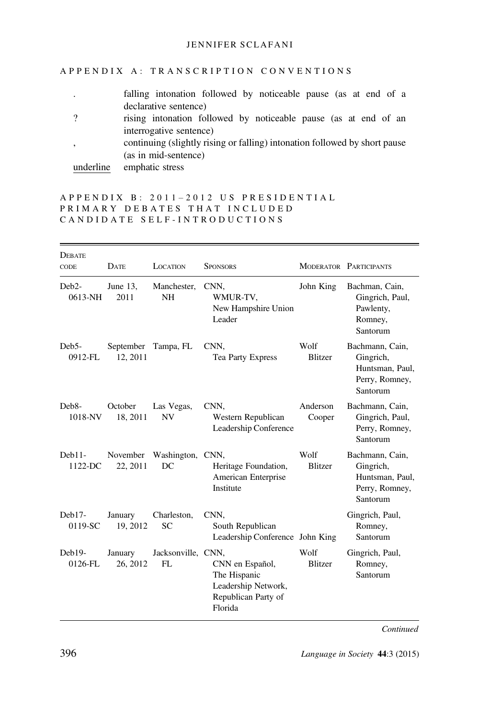# APPENDIX A: TRANSCRIPTION CONVENTIONS

- . falling intonation followed by noticeable pause (as at end of a declarative sentence)
- ? rising intonation followed by noticeable pause (as at end of an interrogative sentence)
- , continuing (slightly rising or falling) intonation followed by short pause (as in mid-sentence)
- underline emphatic stress

## APPENDIX B: 2011 – 2012 US PRESIDENTIAL PRIMARY DEBATES THAT INCLUDED CANDIDATE SELF-INTRODUCTIONS

| DEBATE<br>CODE                | Date.                 | LOCATION                        | <b>SPONSORS</b>                                                                          |                        | MODERATOR PARTICIPANTS                                                        |
|-------------------------------|-----------------------|---------------------------------|------------------------------------------------------------------------------------------|------------------------|-------------------------------------------------------------------------------|
| Deb <sub>2</sub> -<br>0613-NH | June 13,<br>2011      | Manchester,<br>NH               | CNN,<br>WMUR-TV,<br>New Hampshire Union<br>Leader                                        | John King              | Bachman, Cain,<br>Gingrich, Paul,<br>Pawlenty,<br>Romney,<br>Santorum         |
| Deb <sub>5</sub> -<br>0912-FL | September<br>12, 2011 | Tampa, FL                       | CNN,<br>Tea Party Express                                                                | Wolf<br><b>Blitzer</b> | Bachmann, Cain,<br>Gingrich,<br>Huntsman, Paul,<br>Perry, Romney,<br>Santorum |
| Deb8-<br>1018-NV              | October<br>18, 2011   | Las Vegas,<br>NV                | CNN,<br>Western Republican<br>Leadership Conference                                      | Anderson<br>Cooper     | Bachmann, Cain,<br>Gingrich, Paul,<br>Perry, Romney,<br>Santorum              |
| $Deb11-$<br>1122-DC           | November<br>22, 2011  | Washington,<br>DC               | CNN.<br>Heritage Foundation,<br>American Enterprise<br>Institute                         | Wolf<br><b>Blitzer</b> | Bachmann, Cain,<br>Gingrich,<br>Huntsman, Paul,<br>Perry, Romney,<br>Santorum |
| Deb17-<br>0119-SC             | January<br>19, 2012   | Charleston.<br>SC               | CNN.<br>South Republican<br>Leadership Conference John King                              |                        | Gingrich, Paul,<br>Romney,<br>Santorum                                        |
| Deb19-<br>$0126-FL$           | January<br>26, 2012   | Jacksonville, CNN,<br><b>FL</b> | CNN en Español,<br>The Hispanic<br>Leadership Network,<br>Republican Party of<br>Florida | Wolf<br><b>Blitzer</b> | Gingrich, Paul,<br>Romney,<br>Santorum                                        |

**Continued**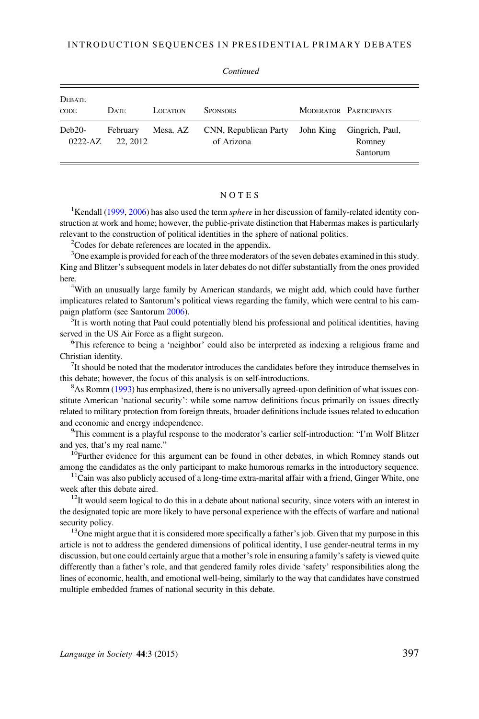<span id="page-28-0"></span>

| DEBATE<br>CODE      | <b>DATE</b>          | <b>LOCATION</b> | <b>SPONSORS</b>                                               | MODERATOR PARTICIPANTS |
|---------------------|----------------------|-----------------|---------------------------------------------------------------|------------------------|
| Deb20-<br>$0222-AZ$ | February<br>22, 2012 | Mesa, AZ        | CNN, Republican Party John King Gingrich, Paul,<br>of Arizona | Romney<br>Santorum     |

Continued

## NOTES

<sup>1</sup>Kendall [\(1999](#page-29-0), [2006\)](#page-29-0) has also used the term *sphere* in her discussion of family-related identity construction at work and home; however, the public-private distinction that Habermas makes is particularly relevant to the construction of political identities in the sphere of national politics. <sup>2</sup>

<sup>2</sup>Codes for debate references are located in the appendix.

<sup>3</sup>One example is provided for each of the three moderators of the seven debates examined in this study. King and Blitzer's subsequent models in later debates do not differ substantially from the ones provided here.

With an unusually large family by American standards, we might add, which could have further implicatures related to Santorum's political views regarding the family, which were central to his cam-paign platform (see Santorum [2006](#page-30-0)).

 ${}^{5}$ It is worth noting that Paul could potentially blend his professional and political identities, having served in the US Air Force as a flight surgeon.

<sup>6</sup>This reference to being a 'neighbor' could also be interpreted as indexing a religious frame and Christian identity.

 $<sup>7</sup>$ It should be noted that the moderator introduces the candidates before they introduce themselves in</sup> this debate; however, the focus of this analysis is on self-introductions. <sup>8</sup>

 $A<sup>8</sup>$ As Romm ([1993\)](#page-30-0) has emphasized, there is no universally agreed-upon definition of what issues constitute American 'national security': while some narrow definitions focus primarily on issues directly related to military protection from foreign threats, broader definitions include issues related to education and economic and energy independence.

 $<sup>9</sup>$ This comment is a playful response to the moderator's earlier self-introduction: "I'm Wolf Blitzer</sup> and yes, that's my real name."<br><sup>10</sup>Further evidence for this argument can be found in other debates, in which Romney stands out

among the candidates as the only participant to make humorous remarks in the introductory sequence.  ${}^{11}$ Cain was also publicly accused of a long-time extra-marital affair with a friend, Ginger White, one week after this debate aired.<br><sup>12</sup>It would seem logical to do this in a debate about national security, since voters with an interest in

the designated topic are more likely to have personal experience with the effects of warfare and national security policy.<br><sup>13</sup>One might argue that it is considered more specifically a father's job. Given that my purpose in this

article is not to address the gendered dimensions of political identity, I use gender-neutral terms in my discussion, but one could certainly argue that a mother's role in ensuring a family's safety is viewed quite differently than a father's role, and that gendered family roles divide 'safety' responsibilities along the lines of economic, health, and emotional well-being, similarly to the way that candidates have construed multiple embedded frames of national security in this debate.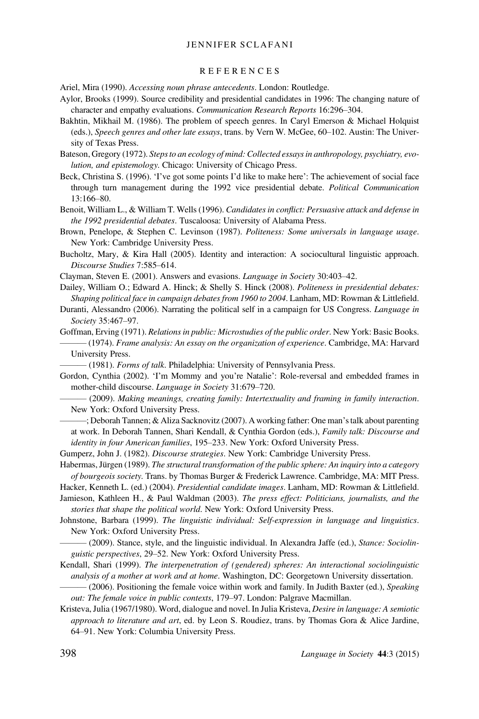#### JENNIFER SCLAFANI

#### **REFERENCES**

<span id="page-29-0"></span>Ariel, Mira (1990). Accessing noun phrase antecedents. London: Routledge.

- Aylor, Brooks (1999). Source credibility and presidential candidates in 1996: The changing nature of character and empathy evaluations. Communication Research Reports 16:296–304.
- Bakhtin, Mikhail M. (1986). The problem of speech genres. In Caryl Emerson & Michael Holquist (eds.), Speech genres and other late essays, trans. by Vern W. McGee, 60–102. Austin: The University of Texas Press.
- Bateson, Gregory (1972). Steps to an ecology of mind: Collected essays in anthropology, psychiatry, evolution, and epistemology. Chicago: University of Chicago Press.
- Beck, Christina S. (1996). 'I've got some points I'd like to make here': The achievement of social face through turn management during the 1992 vice presidential debate. Political Communication 13:166–80.
- Benoit, William L., & William T. Wells (1996). Candidates in conflict: Persuasive attack and defense in the 1992 presidential debates. Tuscaloosa: University of Alabama Press.
- Brown, Penelope, & Stephen C. Levinson (1987). Politeness: Some universals in language usage. New York: Cambridge University Press.
- Bucholtz, Mary, & Kira Hall (2005). Identity and interaction: A sociocultural linguistic approach. Discourse Studies 7:585–614.

Clayman, Steven E. (2001). Answers and evasions. Language in Society 30:403–42.

Dailey, William O.; Edward A. Hinck; & Shelly S. Hinck (2008). Politeness in presidential debates: Shaping political face in campaign debates from 1960 to 2004. Lanham, MD: Rowman & Littlefield.

- Duranti, Alessandro (2006). Narrating the political self in a campaign for US Congress. Language in Society 35:467–97.
- Goffman, Erving (1971). Relations in public: Microstudies of the public order. New York: Basic Books.  $-(1974)$ . Frame analysis: An essay on the organization of experience. Cambridge, MA: Harvard University Press.
	- (1981). Forms of talk. Philadelphia: University of Pennsylvania Press.
- Gordon, Cynthia (2002). 'I'm Mommy and you're Natalie': Role-reversal and embedded frames in mother-child discourse. Language in Society 31:679–720.
	- (2009). Making meanings, creating family: Intertextuality and framing in family interaction. New York: Oxford University Press.
	- ———; Deborah Tannen; & Aliza Sacknovitz (2007). A working father: One man's talk about parenting at work. In Deborah Tannen, Shari Kendall, & Cynthia Gordon (eds.), Family talk: Discourse and identity in four American families, 195–233. New York: Oxford University Press.
- Gumperz, John J. (1982). Discourse strategies. New York: Cambridge University Press.
- Habermas, Jürgen (1989). The structural transformation of the public sphere: An inquiry into a category of bourgeois society. Trans. by Thomas Burger & Frederick Lawrence. Cambridge, MA: MIT Press.

Hacker, Kenneth L. (ed.) (2004). Presidential candidate images. Lanham, MD: Rowman & Littlefield.

- Jamieson, Kathleen H., & Paul Waldman (2003). The press effect: Politicians, journalists, and the stories that shape the political world. New York: Oxford University Press.
- Johnstone, Barbara (1999). The linguistic individual: Self-expression in language and linguistics. New York: Oxford University Press.
- (2009). Stance, style, and the linguistic individual. In Alexandra Jaffe (ed.), Stance: Sociolinguistic perspectives, 29–52. New York: Oxford University Press.
- Kendall, Shari (1999). The interpenetration of (gendered) spheres: An interactional sociolinguistic analysis of a mother at work and at home. Washington, DC: Georgetown University dissertation.
- $-(2006)$ . Positioning the female voice within work and family. In Judith Baxter (ed.), Speaking out: The female voice in public contexts, 179–97. London: Palgrave Macmillan.
- Kristeva, Julia (1967/1980). Word, dialogue and novel. In Julia Kristeva, Desire in language: A semiotic approach to literature and art, ed. by Leon S. Roudiez, trans. by Thomas Gora & Alice Jardine, 64–91. New York: Columbia University Press.